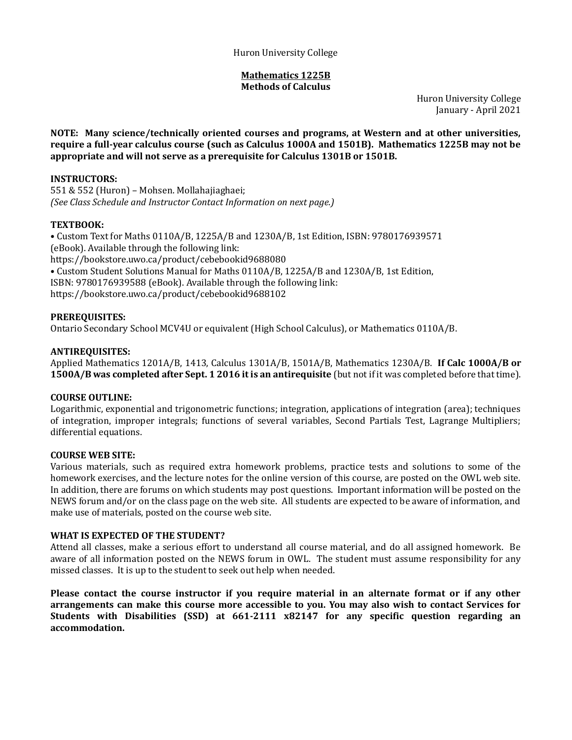#### **Mathematics 1225B Methods of Calculus**

Huron University College January - April 2021

**NOTE: Many science/technically oriented courses and programs, at Western and at other universities, require a full-year calculus course (such as Calculus 1000A and 1501B). Mathematics 1225B may not be appropriate and will not serve as a prerequisite for Calculus 1301B or 1501B.**

### **INSTRUCTORS:**

551 & 552 (Huron) – Mohsen. Mollahajiaghaei; *(See Class Schedule and Instructor Contact Information on next page.)*

### **TEXTBOOK:**

• Custom Text for Maths 0110A/B, 1225A/B and 1230A/B, 1st Edition, ISBN: 9780176939571 (eBook). Available through the following link: https://bookstore.uwo.ca/product/cebebookid9688080 • Custom Student Solutions Manual for Maths 0110A/B, 1225A/B and 1230A/B, 1st Edition, ISBN: 9780176939588 (eBook). Available through the following link: https://bookstore.uwo.ca/product/cebebookid9688102

### **PREREQUISITES:**

Ontario Secondary School MCV4U or equivalent (High School Calculus), or Mathematics 0110A/B.

### **ANTIREQUISITES:**

Applied Mathematics 1201A/B, 1413, Calculus 1301A/B, 1501A/B, Mathematics 1230A/B. **If Calc 1000A/B or 1500A/B was completed after Sept. 1 2016 it is an antirequisite** (but not if it was completed before that time).

### **COURSE OUTLINE:**

Logarithmic, exponential and trigonometric functions; integration, applications of integration (area); techniques of integration, improper integrals; functions of several variables, Second Partials Test, Lagrange Multipliers; differential equations.

### **COURSE WEB SITE:**

Various materials, such as required extra homework problems, practice tests and solutions to some of the homework exercises, and the lecture notes for the online version of this course, are posted on the OWL web site. In addition, there are forums on which students may post questions. Important information will be posted on the NEWS forum and/or on the class page on the web site. All students are expected to be aware of information, and make use of materials, posted on the course web site.

### **WHAT IS EXPECTED OF THE STUDENT?**

Attend all classes, make a serious effort to understand all course material, and do all assigned homework. Be aware of all information posted on the NEWS forum in OWL. The student must assume responsibility for any missed classes. It is up to the student to seek out help when needed.

**Please contact the course instructor if you require material in an alternate format or if any other arrangements can make this course more accessible to you. You may also wish to contact Services for Students with Disabilities (SSD) at 661-2111 x82147 for any specific question regarding an accommodation.**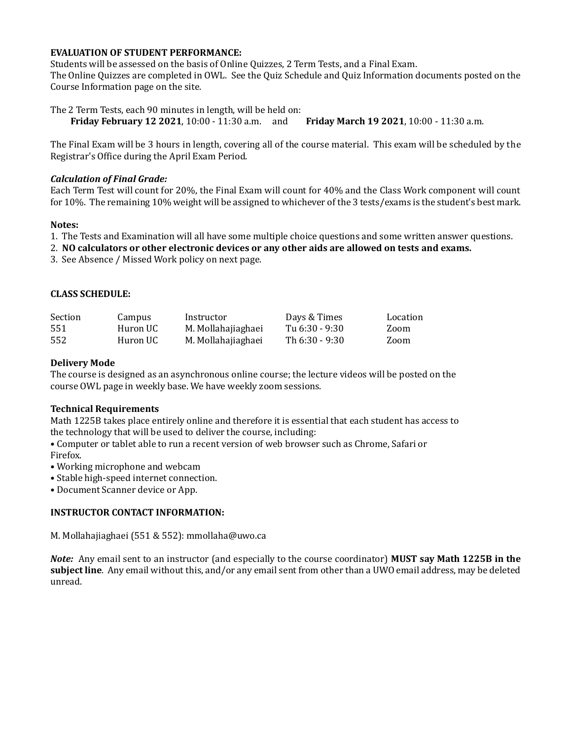### **EVALUATION OF STUDENT PERFORMANCE:**

Students will be assessed on the basis of Online Quizzes, 2 Term Tests, and a Final Exam. The Online Quizzes are completed in OWL. See the Quiz Schedule and Quiz Information documents posted on the Course Information page on the site.

The 2 Term Tests, each 90 minutes in length, will be held on: **Friday February 12 2021**, 10:00 - 11:30 a.m. and **Friday March 19 2021**, 10:00 - 11:30 a.m.

The Final Exam will be 3 hours in length, covering all of the course material. This exam will be scheduled by the Registrar's Office during the April Exam Period.

#### *Calculation of Final Grade:*

Each Term Test will count for 20%, the Final Exam will count for 40% and the Class Work component will count for 10%. The remaining 10% weight will be assigned to whichever of the 3 tests/exams is the student's best mark.

#### **Notes:**

1. The Tests and Examination will all have some multiple choice questions and some written answer questions.

2. **NO calculators or other electronic devices or any other aids are allowed on tests and exams.**

3. See Absence / Missed Work policy on next page.

#### **CLASS SCHEDULE:**

| Section | Campus   | Instructor         | Days & Times   | Location |
|---------|----------|--------------------|----------------|----------|
| 551     | Huron UC | M. Mollahajiaghaei | Tu 6:30 - 9:30 | Zoom     |
| 552     | Huron UC | M. Mollahajiaghaei | Th 6:30 - 9:30 | Zoom     |

#### **Delivery Mode**

The course is designed as an asynchronous online course; the lecture videos will be posted on the course OWL page in weekly base. We have weekly zoom sessions.

#### **Technical Requirements**

Math 1225B takes place entirely online and therefore it is essential that each student has access to the technology that will be used to deliver the course, including:

• Computer or tablet able to run a recent version of web browser such as Chrome, Safari or Firefox.

• Working microphone and webcam

- Stable high-speed internet connection.
- Document Scanner device or App.

### **INSTRUCTOR CONTACT INFORMATION:**

M. Mollahajiaghaei (551 & 552): mmollaha@uwo.ca

*Note:* Any email sent to an instructor (and especially to the course coordinator) **MUST say Math 1225B in the subject line**. Any email without this, and/or any email sent from other than a UWO email address, may be deleted unread.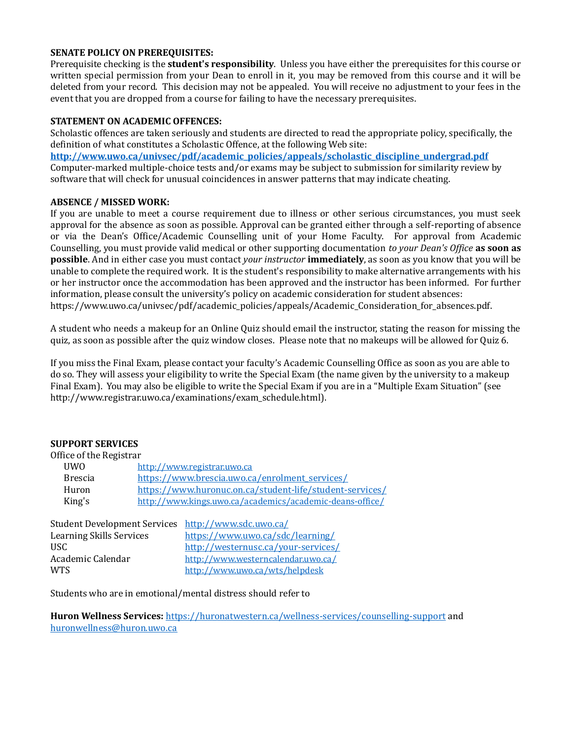#### **SENATE POLICY ON PREREQUISITES:**

Prerequisite checking is the **student's responsibility**. Unless you have either the prerequisites for this course or written special permission from your Dean to enroll in it, you may be removed from this course and it will be deleted from your record. This decision may not be appealed. You will receive no adjustment to your fees in the event that you are dropped from a course for failing to have the necessary prerequisites.

#### **STATEMENT ON ACADEMIC OFFENCES:**

Scholastic offences are taken seriously and students are directed to read the appropriate policy, specifically, the definition of what constitutes a Scholastic Offence, at the following Web site: **[http://www.uwo.ca/univsec/pdf/academic\\_policies/appeals/scholastic\\_discipline\\_undergrad.pdf](http://www.uwo.ca/univsec/pdf/academic_policies/appeals/scholastic_discipline_undergrad.pdf)** Computer-marked multiple-choice tests and/or exams may be subject to submission for similarity review by software that will check for unusual coincidences in answer patterns that may indicate cheating.

#### **ABSENCE / MISSED WORK:**

If you are unable to meet a course requirement due to illness or other serious circumstances, you must seek approval for the absence as soon as possible. Approval can be granted either through a self-reporting of absence or via the Dean's Office/Academic Counselling unit of your Home Faculty. For approval from Academic Counselling, you must provide valid medical or other supporting documentation *to your Dean's Office* **as soon as possible**. And in either case you must contact *your instructor* **immediately**, as soon as you know that you will be unable to complete the required work. It is the student's responsibility to make alternative arrangements with his or her instructor once the accommodation has been approved and the instructor has been informed. For further information, please consult the university's policy on academic consideration for student absences: [https://www.uwo.ca/univsec/pdf/academic\\_policies/appeals/Academic\\_Consideration\\_for\\_absences.pdf.](https://www.uwo.ca/univsec/pdf/academic_policies/appeals/Academic_Consideration_for_absences.pdf)

A student who needs a makeup for an Online Quiz should email the instructor, stating the reason for missing the quiz, as soon as possible after the quiz window closes. Please note that no makeups will be allowed for Quiz 6.

If you miss the Final Exam, please contact your faculty's Academic Counselling Office as soon as you are able to do so. They will assess your eligibility to write the Special Exam (the name given by the university to a makeup Final Exam). You may also be eligible to write the Special Exam if you are in a "Multiple Exam Situation" (see [http://www.registrar.uwo.ca/examinations/exam\\_schedule.html\)](http://www.registrar.uwo.ca/examinations/exam_schedule.html).

### **SUPPORT SERVICES**

| Office of the Registrar |                                                          |  |
|-------------------------|----------------------------------------------------------|--|
| <b>UWO</b>              | http://www.registrar.uwo.ca                              |  |
| <b>Brescia</b>          | https://www.brescia.uwo.ca/enrolment_services/           |  |
| Huron                   | https://www.huronuc.on.ca/student-life/student-services/ |  |
| King's                  | http://www.kings.uwo.ca/academics/academic-deans-office/ |  |
|                         |                                                          |  |

| Student Development Services http://www.sdc.uwo.ca/ |                                     |
|-----------------------------------------------------|-------------------------------------|
| <b>Learning Skills Services</b>                     | https://www.uwo.ca/sdc/learning/    |
| USC.                                                | http://westernusc.ca/your-services/ |
| Academic Calendar                                   | http://www.westerncalendar.uwo.ca/  |
| <b>WTS</b>                                          | http://www.uwo.ca/wts/helpdesk      |

Students who are in emotional/mental distress should refer to

**Huron Wellness Services:** <https://huronatwestern.ca/wellness-services/counselling-support> and [huronwellness@huron.uwo.ca](mailto:huronwellness@huron.uwo.ca)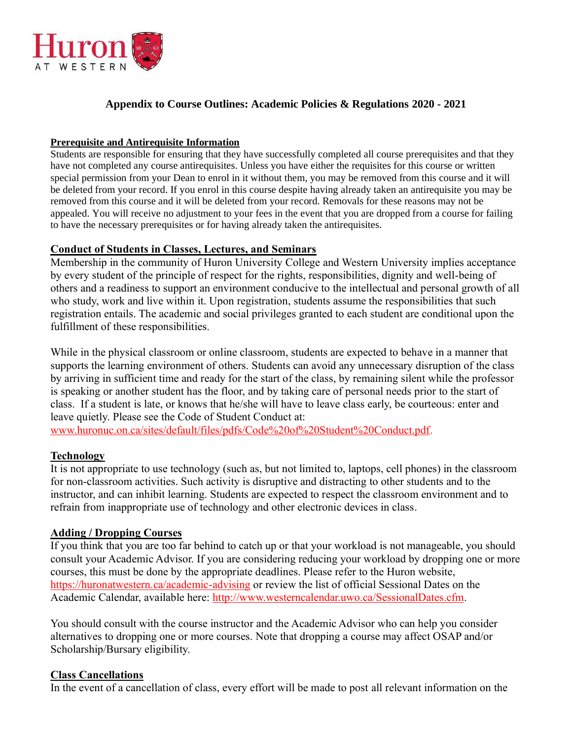

## **Appendix to Course Outlines: Academic Policies & Regulations 2020 - 2021**

## **Prerequisite and Antirequisite Information**

Students are responsible for ensuring that they have successfully completed all course prerequisites and that they have not completed any course antirequisites. Unless you have either the requisites for this course or written special permission from your Dean to enrol in it without them, you may be removed from this course and it will be deleted from your record. If you enrol in this course despite having already taken an antirequisite you may be removed from this course and it will be deleted from your record. Removals for these reasons may not be appealed. You will receive no adjustment to your fees in the event that you are dropped from a course for failing to have the necessary prerequisites or for having already taken the antirequisites.

## **Conduct of Students in Classes, Lectures, and Seminars**

Membership in the community of Huron University College and Western University implies acceptance by every student of the principle of respect for the rights, responsibilities, dignity and well-being of others and a readiness to support an environment conducive to the intellectual and personal growth of all who study, work and live within it. Upon registration, students assume the responsibilities that such registration entails. The academic and social privileges granted to each student are conditional upon the fulfillment of these responsibilities.

While in the physical classroom or online classroom, students are expected to behave in a manner that supports the learning environment of others. Students can avoid any unnecessary disruption of the class by arriving in sufficient time and ready for the start of the class, by remaining silent while the professor is speaking or another student has the floor, and by taking care of personal needs prior to the start of class. If a student is late, or knows that he/she will have to leave class early, be courteous: enter and leave quietly. Please see the Code of Student Conduct at:

[www.huronuc.on.ca/sites/default/files/pdfs/Code%20of%20Student%20Conduct.pdf.](http://www.huronuc.on.ca/sites/default/files/pdfs/Code%20of%20Student%20Conduct.pdf)

## **Technology**

It is not appropriate to use technology (such as, but not limited to, laptops, cell phones) in the classroom for non-classroom activities. Such activity is disruptive and distracting to other students and to the instructor, and can inhibit learning. Students are expected to respect the classroom environment and to refrain from inappropriate use of technology and other electronic devices in class.

## **Adding / Dropping Courses**

If you think that you are too far behind to catch up or that your workload is not manageable, you should consult your Academic Advisor. If you are considering reducing your workload by dropping one or more courses, this must be done by the appropriate deadlines. Please refer to the Huron website, <https://huronatwestern.ca/academic-advising> or review the list of official Sessional Dates on the Academic Calendar, available here: [http://www.westerncalendar.uwo.ca/SessionalDates.cfm.](http://www.westerncalendar.uwo.ca/SessionalDates.cfm)

You should consult with the course instructor and the Academic Advisor who can help you consider alternatives to dropping one or more courses. Note that dropping a course may affect OSAP and/or Scholarship/Bursary eligibility.

## **Class Cancellations**

In the event of a cancellation of class, every effort will be made to post all relevant information on the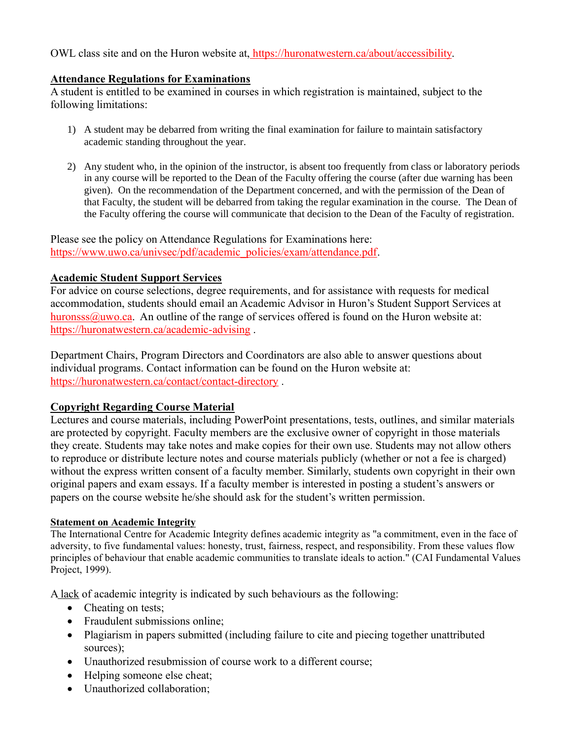OWL class site and on the Huron website at, https://huronatwestern.ca/about/accessibility.

## **Attendance Regulations for Examinations**

A student is entitled to be examined in courses in which registration is maintained, subject to the following limitations:

- 1) A student may be debarred from writing the final examination for failure to maintain satisfactory academic standing throughout the year.
- 2) Any student who, in the opinion of the instructor, is absent too frequently from class or laboratory periods in any course will be reported to the Dean of the Faculty offering the course (after due warning has been given). On the recommendation of the Department concerned, and with the permission of the Dean of that Faculty, the student will be debarred from taking the regular examination in the course. The Dean of the Faculty offering the course will communicate that decision to the Dean of the Faculty of registration.

Please see the policy on Attendance Regulations for Examinations here: [https://www.uwo.ca/univsec/pdf/academic\\_policies/exam/attendance.pdf.](https://www.uwo.ca/univsec/pdf/academic_policies/exam/attendance.pdf)

## **Academic Student Support Services**

For advice on course selections, degree requirements, and for assistance with requests for medical accommodation, students should email an Academic Advisor in Huron's Student Support Services at [huronsss@uwo.ca.](mailto:huronsss@uwo.ca) An outline of the range of services offered is found on the Huron website at: <https://huronatwestern.ca/academic-advising> .

Department Chairs, Program Directors and Coordinators are also able to answer questions about individual programs. Contact information can be found on the Huron website at: <https://huronatwestern.ca/contact/contact-directory> .

## **Copyright Regarding Course Material**

Lectures and course materials, including PowerPoint presentations, tests, outlines, and similar materials are protected by copyright. Faculty members are the exclusive owner of copyright in those materials they create. Students may take notes and make copies for their own use. Students may not allow others to reproduce or distribute lecture notes and course materials publicly (whether or not a fee is charged) without the express written consent of a faculty member. Similarly, students own copyright in their own original papers and exam essays. If a faculty member is interested in posting a student's answers or papers on the course website he/she should ask for the student's written permission.

## **Statement on Academic Integrity**

The International Centre for Academic Integrity defines academic integrity as "a commitment, even in the face of adversity, to five fundamental values: honesty, trust, fairness, respect, and responsibility. From these values flow principles of behaviour that enable academic communities to translate ideals to action." (CAI Fundamental Values Project, 1999).

A lack of academic integrity is indicated by such behaviours as the following:

- Cheating on tests:
- Fraudulent submissions online;
- Plagiarism in papers submitted (including failure to cite and piecing together unattributed sources);
- Unauthorized resubmission of course work to a different course;
- Helping someone else cheat;
- Unauthorized collaboration;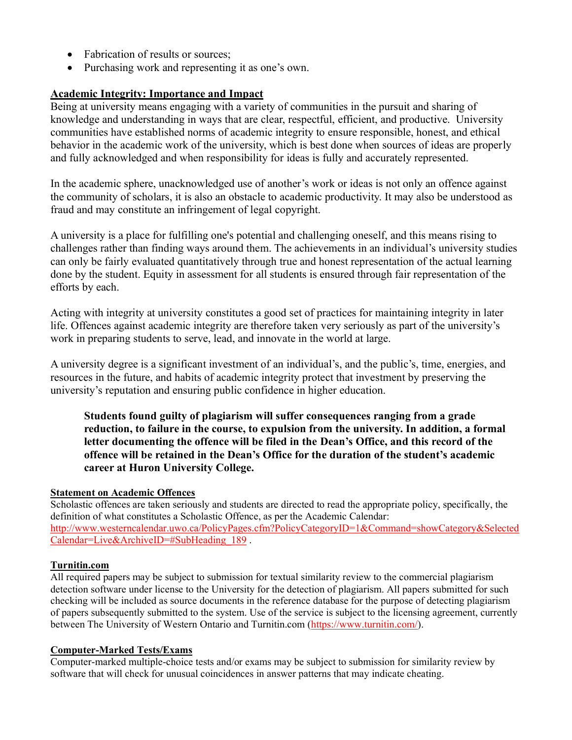- Fabrication of results or sources:
- Purchasing work and representing it as one's own.

## **Academic Integrity: Importance and Impact**

Being at university means engaging with a variety of communities in the pursuit and sharing of knowledge and understanding in ways that are clear, respectful, efficient, and productive. University communities have established norms of academic integrity to ensure responsible, honest, and ethical behavior in the academic work of the university, which is best done when sources of ideas are properly and fully acknowledged and when responsibility for ideas is fully and accurately represented.

In the academic sphere, unacknowledged use of another's work or ideas is not only an offence against the community of scholars, it is also an obstacle to academic productivity. It may also be understood as fraud and may constitute an infringement of legal copyright.

A university is a place for fulfilling one's potential and challenging oneself, and this means rising to challenges rather than finding ways around them. The achievements in an individual's university studies can only be fairly evaluated quantitatively through true and honest representation of the actual learning done by the student. Equity in assessment for all students is ensured through fair representation of the efforts by each.

Acting with integrity at university constitutes a good set of practices for maintaining integrity in later life. Offences against academic integrity are therefore taken very seriously as part of the university's work in preparing students to serve, lead, and innovate in the world at large.

A university degree is a significant investment of an individual's, and the public's, time, energies, and resources in the future, and habits of academic integrity protect that investment by preserving the university's reputation and ensuring public confidence in higher education.

**Students found guilty of plagiarism will suffer consequences ranging from a grade reduction, to failure in the course, to expulsion from the university. In addition, a formal letter documenting the offence will be filed in the Dean's Office, and this record of the offence will be retained in the Dean's Office for the duration of the student's academic career at Huron University College.**

### **Statement on Academic Offences**

Scholastic offences are taken seriously and students are directed to read the appropriate policy, specifically, the definition of what constitutes a Scholastic Offence, as per the Academic Calendar: [http://www.westerncalendar.uwo.ca/PolicyPages.cfm?PolicyCategoryID=1&Command=showCategory&Selected](http://www.westerncalendar.uwo.ca/PolicyPages.cfm?PolicyCategoryID=1&Command=showCategory&SelectedCalendar=Live&ArchiveID=#SubHeading_189) [Calendar=Live&ArchiveID=#SubHeading\\_189](http://www.westerncalendar.uwo.ca/PolicyPages.cfm?PolicyCategoryID=1&Command=showCategory&SelectedCalendar=Live&ArchiveID=#SubHeading_189).

## **Turnitin.com**

All required papers may be subject to submission for textual similarity review to the commercial plagiarism detection software under license to the University for the detection of plagiarism. All papers submitted for such checking will be included as source documents in the reference database for the purpose of detecting plagiarism of papers subsequently submitted to the system. Use of the service is subject to the licensing agreement, currently between The University of Western Ontario and Turnitin.com [\(https://www.turnitin.com/\)](https://www.turnitin.com/).

### **Computer-Marked Tests/Exams**

Computer-marked multiple-choice tests and/or exams may be subject to submission for similarity review by software that will check for unusual coincidences in answer patterns that may indicate cheating.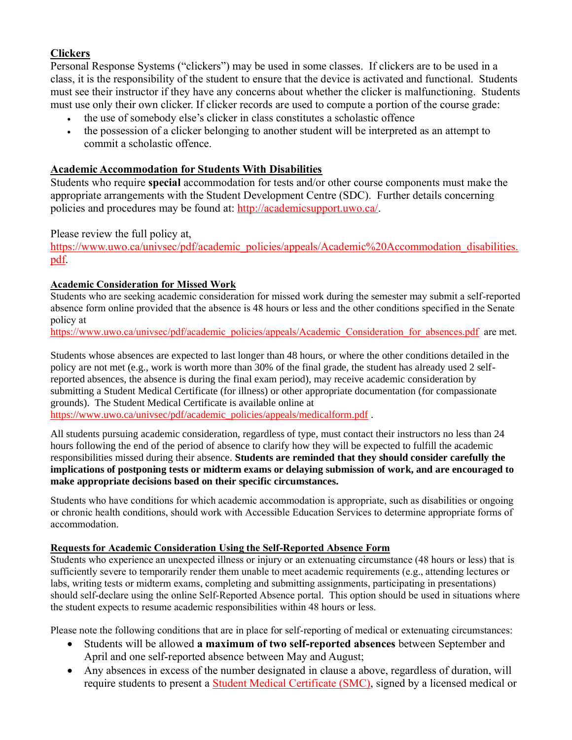## **Clickers**

Personal Response Systems ("clickers") may be used in some classes. If clickers are to be used in a class, it is the responsibility of the student to ensure that the device is activated and functional. Students must see their instructor if they have any concerns about whether the clicker is malfunctioning. Students must use only their own clicker. If clicker records are used to compute a portion of the course grade:

- the use of somebody else's clicker in class constitutes a scholastic offence
- the possession of a clicker belonging to another student will be interpreted as an attempt to commit a scholastic offence.

## **Academic Accommodation for Students With Disabilities**

Students who require **special** accommodation for tests and/or other course components must make the appropriate arrangements with the Student Development Centre (SDC). Further details concerning policies and procedures may be found at: [http://academicsupport.uwo.ca/.](http://academicsupport.uwo.ca/)

Please review the full policy at,

[https://www.uwo.ca/univsec/pdf/academic\\_policies/appeals/Academic%20Accommodation\\_disabilities.](https://www.uwo.ca/univsec/pdf/academic_policies/appeals/Academic%20Accommodation_disabilities.pdf) [pdf.](https://www.uwo.ca/univsec/pdf/academic_policies/appeals/Academic%20Accommodation_disabilities.pdf)

## **Academic Consideration for Missed Work**

Students who are seeking academic consideration for missed work during the semester may submit a self-reported absence form online provided that the absence is 48 hours or less and the other conditions specified in the Senate policy at

[https://www.uwo.ca/univsec/pdf/academic\\_policies/appeals/Academic\\_Consideration\\_for\\_absences.pdf](https://www.uwo.ca/univsec/pdf/academic_policies/appeals/Academic_Consideration_for_absences.pdf) are met.

Students whose absences are expected to last longer than 48 hours, or where the other conditions detailed in the policy are not met (e.g., work is worth more than 30% of the final grade, the student has already used 2 selfreported absences, the absence is during the final exam period), may receive academic consideration by submitting a Student Medical Certificate (for illness) or other appropriate documentation (for compassionate grounds). The Student Medical Certificate is available online at

[https://www.uwo.ca/univsec/pdf/academic\\_policies/appeals/medicalform.pdf](https://www.uwo.ca/univsec/pdf/academic_policies/appeals/medicalform.pdf) .

All students pursuing academic consideration, regardless of type, must contact their instructors no less than 24 hours following the end of the period of absence to clarify how they will be expected to fulfill the academic responsibilities missed during their absence. **Students are reminded that they should consider carefully the implications of postponing tests or midterm exams or delaying submission of work, and are encouraged to make appropriate decisions based on their specific circumstances.**

Students who have conditions for which academic accommodation is appropriate, such as disabilities or ongoing or chronic health conditions, should work with Accessible Education Services to determine appropriate forms of accommodation.

## **Requests for Academic Consideration Using the Self-Reported Absence Form**

Students who experience an unexpected illness or injury or an extenuating circumstance (48 hours or less) that is sufficiently severe to temporarily render them unable to meet academic requirements (e.g., attending lectures or labs, writing tests or midterm exams, completing and submitting assignments, participating in presentations) should self-declare using the online Self-Reported Absence portal. This option should be used in situations where the student expects to resume academic responsibilities within 48 hours or less.

Please note the following conditions that are in place for self-reporting of medical or extenuating circumstances:

- Students will be allowed **a maximum of two self-reported absences** between September and April and one self-reported absence between May and August;
- Any absences in excess of the number designated in clause a above, regardless of duration, will require students to present a [Student Medical Certificate \(SMC\),](https://www.uwo.ca/univsec/pdf/academic_policies/appeals/medicalform.pdf) signed by a licensed medical or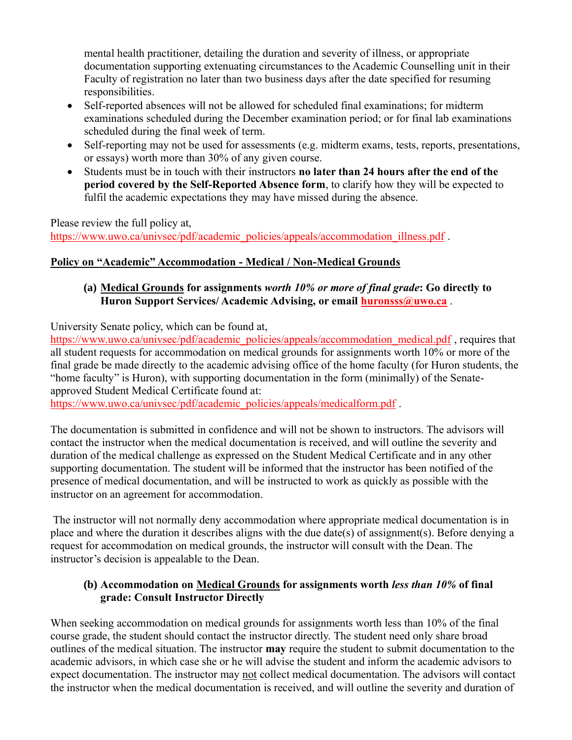mental health practitioner, detailing the duration and severity of illness, or appropriate documentation supporting extenuating circumstances to the Academic Counselling unit in their Faculty of registration no later than two business days after the date specified for resuming responsibilities.

- Self-reported absences will not be allowed for scheduled final examinations; for midterm examinations scheduled during the December examination period; or for final lab examinations scheduled during the final week of term.
- Self-reporting may not be used for assessments (e.g. midterm exams, tests, reports, presentations, or essays) worth more than 30% of any given course.
- Students must be in touch with their instructors **no later than 24 hours after the end of the period covered by the Self-Reported Absence form**, to clarify how they will be expected to fulfil the academic expectations they may have missed during the absence.

Please review the full policy at,

[https://www.uwo.ca/univsec/pdf/academic\\_policies/appeals/accommodation\\_illness.pdf](https://www.uwo.ca/univsec/pdf/academic_policies/appeals/accommodation_illness.pdf) .

# **Policy on "Academic" Accommodation - Medical / Non-Medical Grounds**

## **(a) Medical Grounds for assignments** *worth 10% or more of final grade***: Go directly to Huron Support Services/ Academic Advising, or email [huronsss@uwo.ca](mailto:huronsss@uwo.ca)** .

University Senate policy, which can be found at,

[https://www.uwo.ca/univsec/pdf/academic\\_policies/appeals/accommodation\\_medical.pdf](https://www.uwo.ca/univsec/pdf/academic_policies/appeals/accommodation_medical.pdf), requires that all student requests for accommodation on medical grounds for assignments worth 10% or more of the final grade be made directly to the academic advising office of the home faculty (for Huron students, the "home faculty" is Huron), with supporting documentation in the form (minimally) of the Senateapproved Student Medical Certificate found at:

[https://www.uwo.ca/univsec/pdf/academic\\_policies/appeals/medicalform.pdf](https://www.uwo.ca/univsec/pdf/academic_policies/appeals/medicalform.pdf) .

The documentation is submitted in confidence and will not be shown to instructors. The advisors will contact the instructor when the medical documentation is received, and will outline the severity and duration of the medical challenge as expressed on the Student Medical Certificate and in any other supporting documentation. The student will be informed that the instructor has been notified of the presence of medical documentation, and will be instructed to work as quickly as possible with the instructor on an agreement for accommodation.

The instructor will not normally deny accommodation where appropriate medical documentation is in place and where the duration it describes aligns with the due date(s) of assignment(s). Before denying a request for accommodation on medical grounds, the instructor will consult with the Dean. The instructor's decision is appealable to the Dean.

## **(b) Accommodation on Medical Grounds for assignments worth** *less than 10%* **of final grade: Consult Instructor Directly**

When seeking accommodation on medical grounds for assignments worth less than 10% of the final course grade, the student should contact the instructor directly. The student need only share broad outlines of the medical situation. The instructor **may** require the student to submit documentation to the academic advisors, in which case she or he will advise the student and inform the academic advisors to expect documentation. The instructor may not collect medical documentation. The advisors will contact the instructor when the medical documentation is received, and will outline the severity and duration of